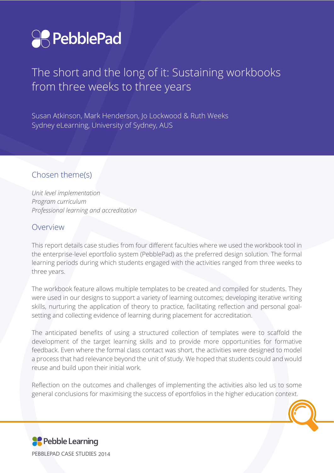

# The short and the long of it: Sustaining workbooks from three weeks to three years

Susan Atkinson, Mark Henderson, Jo Lockwood & Ruth Weeks Sydney eLearning, University of Sydney, AUS

#### Chosen theme(s)

*Unit level implementation Program curriculum Professional learning and accreditation*

#### Overview

This report details case studies from four different faculties where we used the workbook tool in the enterprise-level eportfolio system (PebblePad) as the preferred design solution. The formal learning periods during which students engaged with the activities ranged from three weeks to three years.

The workbook feature allows multiple templates to be created and compiled for students. They were used in our designs to support a variety of learning outcomes; developing iterative writing skills, nurturing the application of theory to practice, facilitating reflection and personal goalsetting and collecting evidence of learning during placement for accreditation.

The anticipated benefits of using a structured collection of templates were to scaffold the development of the target learning skills and to provide more opportunities for formative feedback. Even where the formal class contact was short, the activities were designed to model a process that had relevance beyond the unit of study. We hoped that students could and would reuse and build upon their initial work.

Reflection on the outcomes and challenges of implementing the activities also led us to some general conclusions for maximising the success of eportfolios in the higher education context.

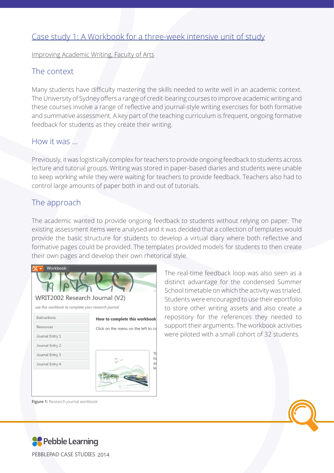## Case study 1: A Workbook for a three-week intensive unit of study

Improving Academic Writing, Faculty of Arts

### The context

Many students have difficulty mastering the skills needed to write well in an academic context. The University of Sydney offers a range of credit-bearing courses to improve academic writing and these courses involve a range of reflective and journal-style writing exercises for both formative and summative assessment. A key part of the teaching curriculum is frequent, ongoing formative feedback for students as they create their writing.

#### How it was …

Previously, it was logistically complex for teachers to provide ongoing feedback to students across lecture and tutorial groups. Writing was stored in paper-based diaries and students were unable to keep working while they were waiting for teachers to provide feedback. Teachers also had to control large amounts of paper both in and out of tutorials.

### The approach

The academic wanted to provide ongoing feedback to students without relying on paper. The existing assessment items were analysed and it was decided that a collection of templates would provide the basic structure for students to develop a virtual diary where both reflective and formative pages could be provided. The templates provided models for students to then create their own pages and develop their own rhetorical style.

| Workbook                                            |                                     |
|-----------------------------------------------------|-------------------------------------|
| WRIT2002 Research Journal (V2)                      |                                     |
| use this workbook to complete your research journal |                                     |
| Instructions                                        | How to complete this workbook       |
| Resources                                           | Click on the menu on the left to co |
| Journal Entry 1                                     |                                     |
| Journal Entry 2                                     |                                     |
|                                                     | דו                                  |

The real-time feedback loop was also seen as a distinct advantage for the condensed Summer School timetable on which the activity was trialed. Students were encouraged to use their eportfolio to store other writing assets and also create a repository for the references they needed to support their arguments. The workbook activities were piloted with a small cohort of 32 students.



**Figure 1:** Research journal workbook



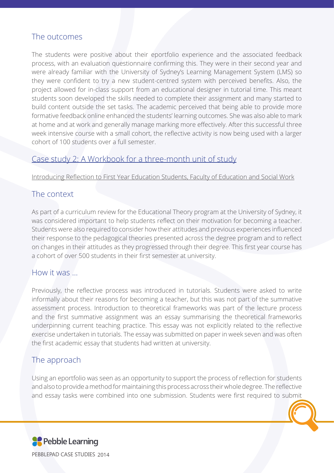### The outcomes

The students were positive about their eportfolio experience and the associated feedback process, with an evaluation questionnaire confirming this. They were in their second year and were already familiar with the University of Sydney's Learning Management System (LMS) so they were confident to try a new student-centred system with perceived benefits. Also, the project allowed for in-class support from an educational designer in tutorial time. This meant students soon developed the skills needed to complete their assignment and many started to build content outside the set tasks. The academic perceived that being able to provide more formative feedback online enhanced the students' learning outcomes. She was also able to mark at home and at work and generally manage marking more effectively. After this successful three week intensive course with a small cohort, the reflective activity is now being used with a larger cohort of 100 students over a full semester.

#### Case study 2: A Workbook for a three-month unit of study

Introducing Reflection to First Year Education Students, Faculty of Education and Social Work

#### The context

As part of a curriculum review for the Educational Theory program at the University of Sydney, it was considered important to help students reflect on their motivation for becoming a teacher. Students were also required to consider how their attitudes and previous experiences influenced their response to the pedagogical theories presented across the degree program and to reflect on changes in their attitudes as they progressed through their degree. This first year course has a cohort of over 500 students in their first semester at university.

#### How it was …

Previously, the reflective process was introduced in tutorials. Students were asked to write informally about their reasons for becoming a teacher, but this was not part of the summative assessment process. Introduction to theoretical frameworks was part of the lecture process and the first summative assignment was an essay summarising the theoretical frameworks underpinning current teaching practice. This essay was not explicitly related to the reflective exercise undertaken in tutorials. The essay was submitted on paper in week seven and was often the first academic essay that students had written at university.

#### The approach

Using an eportfolio was seen as an opportunity to support the process of reflection for students and also to provide a method for maintaining this process across their whole degree. The reflective and essay tasks were combined into one submission. Students were first required to submit

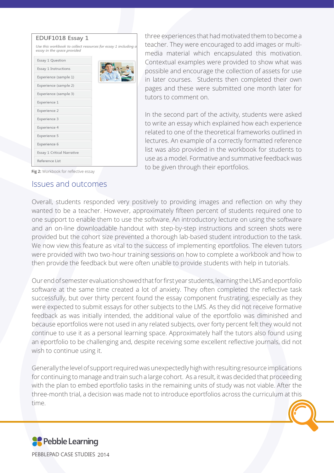

three experiences that had motivated them to become a teacher. They were encouraged to add images or multimedia material which encapsulated this motivation. Contextual examples were provided to show what was possible and encourage the collection of assets for use in later courses. Students then completed their own pages and these were submitted one month later for tutors to comment on.

In the second part of the activity, students were asked to write an essay which explained how each experience related to one of the theoretical frameworks outlined in lectures. An example of a correctly formatted reference list was also provided in the workbook for students to use as a model. Formative and summative feedback was to be given through their eportfolios.

**Fig 2:** Workbook for reflective essay

#### Issues and outcomes

Overall, students responded very positively to providing images and reflection on why they wanted to be a teacher. However, approximately fifteen percent of students required one to one support to enable them to use the software. An introductory lecture on using the software and an on-line downloadable handout with step-by-step instructions and screen shots were provided but the cohort size prevented a thorough lab-based student introduction to the task. We now view this feature as vital to the success of implementing eportfolios. The eleven tutors were provided with two two-hour training sessions on how to complete a workbook and how to then provide the feedback but were often unable to provide students with help in tutorials.

Our end of semester evaluation showed that for first year students, learning the LMS and eportfolio software at the same time created a lot of anxiety. They often completed the reflective task successfully, but over thirty percent found the essay component frustrating, especially as they were expected to submit essays for other subjects to the LMS. As they did not receive formative feedback as was initially intended, the additional value of the eportfolio was diminished and because eportfolios were not used in any related subjects, over forty percent felt they would not continue to use it as a personal learning space. Approximately half the tutors also found using an eportfolio to be challenging and, despite receiving some excellent reflective journals, did not wish to continue using it.

Generally the level of support required was unexpectedly high with resulting resource implications for continuing to manage and train such a large cohort. As a result, it was decided that proceeding with the plan to embed eportfolio tasks in the remaining units of study was not viable. After the three-month trial, a decision was made not to introduce eportfolios across the curriculum at this time.

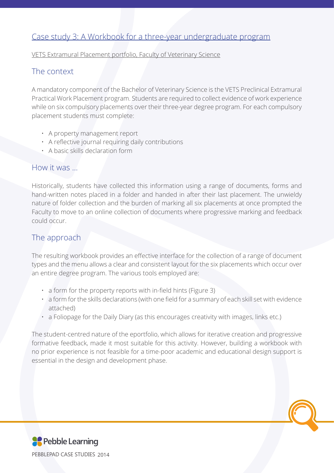## Case study 3: A Workbook for a three-year undergraduate program

VETS Extramural Placement portfolio, Faculty of Veterinary Science

## The context

A mandatory component of the Bachelor of Veterinary Science is the VETS Preclinical Extramural Practical Work Placement program. Students are required to collect evidence of work experience while on six compulsory placements over their three-year degree program. For each compulsory placement students must complete:

- A property management report
- A reflective journal requiring daily contributions
- A basic skills declaration form

## How it was …

Historically, students have collected this information using a range of documents, forms and hand-written notes placed in a folder and handed in after their last placement. The unwieldy nature of folder collection and the burden of marking all six placements at once prompted the Faculty to move to an online collection of documents where progressive marking and feedback could occur.

## The approach

The resulting workbook provides an effective interface for the collection of a range of document types and the menu allows a clear and consistent layout for the six placements which occur over an entire degree program. The various tools employed are:

- a form for the property reports with in-field hints (Figure 3)
- a form for the skills declarations (with one field for a summary of each skill set with evidence attached)
- a Foliopage for the Daily Diary (as this encourages creativity with images, links etc.)

The student-centred nature of the eportfolio, which allows for iterative creation and progressive formative feedback, made it most suitable for this activity. However, building a workbook with no prior experience is not feasible for a time-poor academic and educational design support is

essential in the design and development phase.

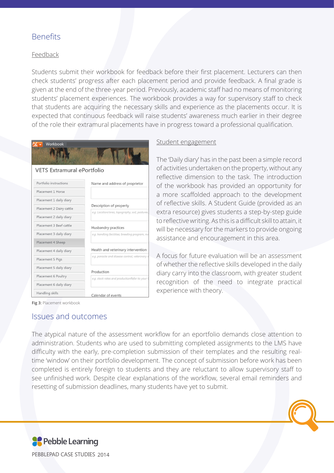#### Benefits

#### **Feedback**

Students submit their workbook for feedback before their first placement. Lecturers can then check students' progress after each placement period and provide feedback. A final grade is given at the end of the three-year period. Previously, academic staff had no means of monitoring students' placement experiences. The workbook provides a way for supervisory staff to check that students are acquiring the necessary skills and experience as the placements occur. It is expected that continuous feedback will raise students' awareness much earlier in their degree of the role their extramural placements have in progress toward a professional qualification.

| Workbook                   |                                                              |
|----------------------------|--------------------------------------------------------------|
|                            |                                                              |
|                            |                                                              |
| VETS Extramural ePortfolio |                                                              |
| Portfolio instructions     | Name and address of proprietor                               |
| Placement 1 Horse          |                                                              |
| Placement 1 daily diary    |                                                              |
| Placement 2 Dairy cattle   | Description of property                                      |
| Placement 2 daily diary    | e.g. Location/area, topography, soil, pastures,              |
| Placement 3 Beef cattle    | Husbandry practices                                          |
| Placement 3 daily diary    | e.g. handling facilities; breeding program, nu               |
| Placement 4 Sheep          |                                                              |
| Placement 4 daily diary    | Health and veterinary intervention                           |
| Placement 5 Pigs           | e.g. parasite and disease control, veterinary i              |
| Placement 5 daily diary    |                                                              |
| Placement 6 Poultry        | Production<br>e.g. stock rates and productionRefer to your ( |
| Placement 6 daily diary    |                                                              |
| Handling skills            | Calendar of events                                           |

#### Student engagement

The 'Daily diary' has in the past been a simple record of activities undertaken on the property, without any reflective dimension to the task. The introduction of the workbook has provided an opportunity for a more scaffolded approach to the development of reflective skills. A Student Guide (provided as an extra resource) gives students a step-by-step guide to reflective writing. As this is a difficult skill to attain, it will be necessary for the markers to provide ongoing assistance and encouragement in this area.

A focus for future evaluation will be an assessment of whether the reflective skills developed in the daily diary carry into the classroom, with greater student recognition of the need to integrate practical experience with theory.

#### Issues and outcomes

The atypical nature of the assessment workflow for an eportfolio demands close attention to administration. Students who are used to submitting completed assignments to the LMS have difficulty with the early, pre-completion submission of their templates and the resulting realtime 'window' on their portfolio development. The concept of submission before work has been completed is entirely foreign to students and they are reluctant to allow supervisory staff to see unfinished work. Despite clear explanations of the workflow, several email reminders and resetting of submission deadlines, many students have yet to submit.



PEBBLEPAD CASE STUDIES 2014

**Fig 3:** Placement workbook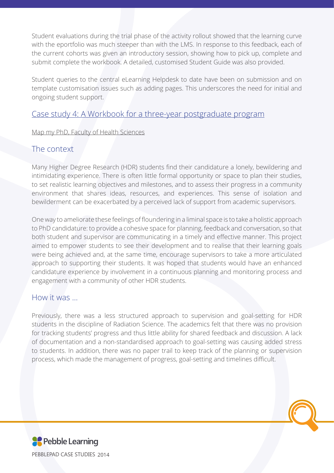Student evaluations during the trial phase of the activity rollout showed that the learning curve with the eportfolio was much steeper than with the LMS. In response to this feedback, each of the current cohorts was given an introductory session, showing how to pick up, complete and submit complete the workbook. A detailed, customised Student Guide was also provided.

Student queries to the central eLearning Helpdesk to date have been on submission and on template customisation issues such as adding pages. This underscores the need for initial and ongoing student support.

#### Case study 4: A Workbook for a three-year postgraduate program

#### Map my PhD, Faculty of Health Sciences

#### The context

Many Higher Degree Research (HDR) students find their candidature a lonely, bewildering and intimidating experience. There is often little formal opportunity or space to plan their studies, to set realistic learning objectives and milestones, and to assess their progress in a community environment that shares ideas, resources, and experiences. This sense of isolation and bewilderment can be exacerbated by a perceived lack of support from academic supervisors.

One way to ameliorate these feelings of floundering in a liminal space is to take a holistic approach to PhD candidature: to provide a cohesive space for planning, feedback and conversation, so that both student and supervisor are communicating in a timely and effective manner. This project aimed to empower students to see their development and to realise that their learning goals were being achieved and, at the same time, encourage supervisors to take a more articulated approach to supporting their students. It was hoped that students would have an enhanced candidature experience by involvement in a continuous planning and monitoring process and engagement with a community of other HDR students.

#### How it was …

Previously, there was a less structured approach to supervision and goal-setting for HDR students in the discipline of Radiation Science. The academics felt that there was no provision for tracking students' progress and thus little ability for shared feedback and discussion. A lack of documentation and a non-standardised approach to goal-setting was causing added stress to students. In addition, there was no paper trail to keep track of the planning or supervision process, which made the management of progress, goal-setting and timelines difficult.

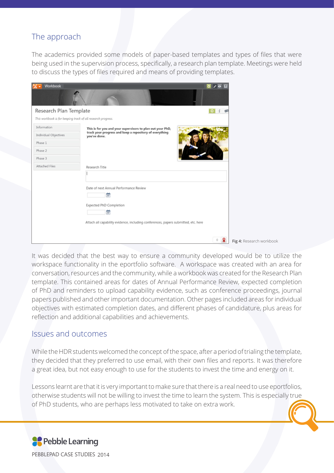## The approach

The academics provided some models of paper-based templates and types of files that were being used in the supervision process, specifically, a research plan template. Meetings were held to discuss the types of files required and means of providing templates.

| Workbook                                                     |                                                                                                                                                                   | $\sigma$<br><b>CO</b> |                 |
|--------------------------------------------------------------|-------------------------------------------------------------------------------------------------------------------------------------------------------------------|-----------------------|-----------------|
|                                                              |                                                                                                                                                                   |                       |                 |
| Research Plan Template                                       |                                                                                                                                                                   | $O$ $i$ $S$           |                 |
| This workbook is for keeping track of all research progress. |                                                                                                                                                                   |                       |                 |
| Information                                                  | This is for you and your supervisors to plan out your PhD,                                                                                                        |                       |                 |
| Individual Objectives                                        | track your progress and keep a repository of everything<br>you've done.                                                                                           |                       |                 |
| Phase 1                                                      |                                                                                                                                                                   |                       |                 |
| Phase 2                                                      |                                                                                                                                                                   |                       |                 |
| Phase 3                                                      |                                                                                                                                                                   |                       |                 |
| Attached Files                                               | Research Title                                                                                                                                                    |                       |                 |
|                                                              |                                                                                                                                                                   |                       |                 |
|                                                              | Date of next Annual Performance Review<br>筒<br>Expected PhD Completion<br>筒<br>Attach all capability evidence, including conferences, papers submitted, etc. here |                       |                 |
|                                                              |                                                                                                                                                                   | Я<br>$\circ$          | Fig 4: Research |

It was decided that the best way to ensure a community developed would be to utilize the workspace functionality in the eportfolio software. A workspace was created with an area for conversation, resources and the community, while a workbook was created for the Research Plan template. This contained areas for dates of Annual Performance Review, expected completion of PhD and reminders to upload capability evidence, such as conference proceedings, journal papers published and other important documentation. Other pages included areas for individual objectives with estimated completion dates, and different phases of candidature, plus areas for reflection and additional capabilities and achievements.

workbook

#### Issues and outcomes

While the HDR students welcomed the concept of the space, after a period of trialing the template,

they decided that they preferred to use email, with their own files and reports. It was therefore a great idea, but not easy enough to use for the students to invest the time and energy on it.

Lessons learnt are that it is very important to make sure that there is a real need to use eportfolios, otherwise students will not be willing to invest the time to learn the system. This is especially true of PhD students, who are perhaps less motivated to take on extra work.

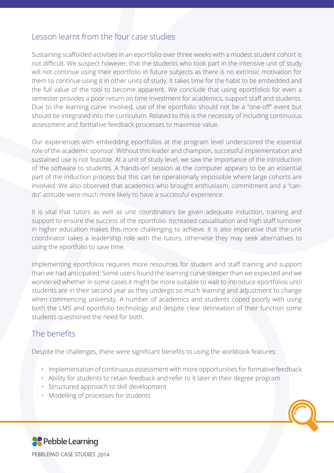## Lesson learnt from the four case studies

Sustaining scaffolded activities in an eportfolio over three weeks with a modest student cohort is not difficult. We suspect however, that the students who took part in the intensive unit of study will not continue using their eportfolio in future subjects as there is no extrinsic motivation for them to continue using it in other units of study. It takes time for the habit to be embedded and the full value of the tool to become apparent. We conclude that using eportfolios for even a semester provides a poor return on time investment for academics, support staff and students. Due to the learning curve involved, use of the eportfolio should not be a "one-off" event but should be integrated into the curriculum. Related to this is the necessity of including continuous assessment and formative feedback processes to maximise value.

Our experiences with embedding eportfolios at the program level underscored the essential role of the academic sponsor. Without this leader and champion, successful implementation and sustained use is not feasible. At a unit of study level, we saw the importance of the introduction of the software to students. A 'hands-on' session at the computer appears to be an essential part of the induction process but this can be operationally impossible where large cohorts are involved. We also observed that academics who brought enthusiasm, commitment and a "cando" attitude were much more likely to have a successful experience.

It is vital that tutors as well as unit coordinators be given adequate induction, training and support to ensure the success of the eportfolio. Increased casualisation and high staff turnover in higher education makes this more challenging to achieve. It is also imperative that the unit coordinator takes a leadership role with the tutors, otherwise they may seek alternatives to using the eportfolio to save time.

Implementing eportfolios requires more resources for student and staff training and support than we had anticipated. Some users found the learning curve steeper than we expected and we wondered whether in some cases it might be more suitable to wait to introduce eportfolios until students are in their second year as they undergo so much learning and adjustment to change when commencing university. A number of academics and students coped poorly with using both the LMS and eportfolio technology and despite clear delineation of their function some students questioned the need for both.

## The benefits

Despite the challenges, there were significant benefits to using the workbook features:

- Implementation of continuous assessment with more opportunities for formative feedback
- Ability for students to retain feedback and refer to it later in their degree program
- Structured approach to skill development
- Modelling of processes for students